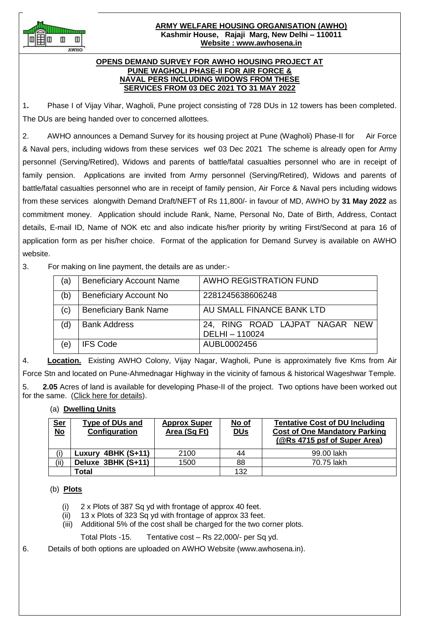

#### **ARMY WELFARE HOUSING ORGANISATION (AWHO) Kashmir House, Rajaji Marg, New Delhi – 110011 Website : www.awhosena.in**

### **OPENS DEMAND SURVEY FOR AWHO HOUSING PROJECT AT PUNE WAGHOLI PHASE-II FOR AIR FORCE & NAVAL PERS INCLUDING WIDOWS FROM THESE SERVICES FROM 03 DEC 2021 TO 31 MAY 2022**

1**.** Phase I of Vijay Vihar, Wagholi, Pune project consisting of 728 DUs in 12 towers has been completed. The DUs are being handed over to concerned allottees.

2. AWHO announces a Demand Survey for its housing project at Pune (Wagholi) Phase-II for Air Force & Naval pers, including widows from these services wef 03 Dec 2021 The scheme is already open for Army personnel (Serving/Retired), Widows and parents of battle/fatal casualties personnel who are in receipt of family pension. Applications are invited from Army personnel (Serving/Retired), Widows and parents of battle/fatal casualties personnel who are in receipt of family pension, Air Force & Naval pers including widows from these services alongwith Demand Draft/NEFT of Rs 11,800/- in favour of MD, AWHO by **31 May 2022** as commitment money. Application should include Rank, Name, Personal No, Date of Birth, Address, Contact details, E-mail ID, Name of NOK etc and also indicate his/her priority by writing First/Second at para 16 of application form as per his/her choice. Format of the application for Demand Survey is available on AWHO website.

# 3. For making on line payment, the details are as under:-

| (a) | <b>Beneficiary Account Name</b> | AWHO REGISTRATION FUND                         |
|-----|---------------------------------|------------------------------------------------|
| (b) | <b>Beneficiary Account No</b>   | 2281245638606248                               |
| (c) | <b>Beneficiary Bank Name</b>    | AU SMALL FINANCE BANK LTD                      |
| (d) | <b>Bank Address</b>             | 24, RING ROAD LAJPAT NAGAR NEW<br>DELHI-110024 |
| (e) | <b>IFS Code</b>                 | AUBL0002456                                    |

4. **Location.** Existing AWHO Colony, Vijay Nagar, Wagholi, Pune is approximately five Kms from Air Force Stn and located on Pune-Ahmednagar Highway in the vicinity of famous & historical Wageshwar Temple. 5. **2.05** Acres of land is available for developing Phase-II of the project. Two options have been worked out

# for the same. (Click here for details). (a) **Dwelling Units**

| <u>Ser</u><br><u>No</u> | <b>Type of DUs and</b><br>Configuration | <b>Approx Super</b><br>Area (Sq Ft) | No of<br><b>DU<sub>S</sub></b> | <b>Tentative Cost of DU Including</b><br><b>Cost of One Mandatory Parking</b><br>(@Rs 4715 psf of Super Area) |
|-------------------------|-----------------------------------------|-------------------------------------|--------------------------------|---------------------------------------------------------------------------------------------------------------|
|                         | Luxury 4BHK (S+11)                      | 2100                                | 44                             | 99.00 lakh                                                                                                    |
| (ii)                    | Deluxe 3BHK (S+11)                      | 1500                                | 88                             | 70.75 lakh                                                                                                    |
|                         | Total                                   |                                     | 132                            |                                                                                                               |

## (b) **Plots**

- (i) 2 x Plots of 387 Sq yd with frontage of approx 40 feet.
- (ii) 13 x Plots of 323 Sq yd with frontage of approx 33 feet.
- (iii) Additional 5% of the cost shall be charged for the two corner plots.

Total Plots -15. Tentative cost – Rs 22,000/- per Sq yd.

6. Details of both options are uploaded on AWHO Website (www.awhosena.in).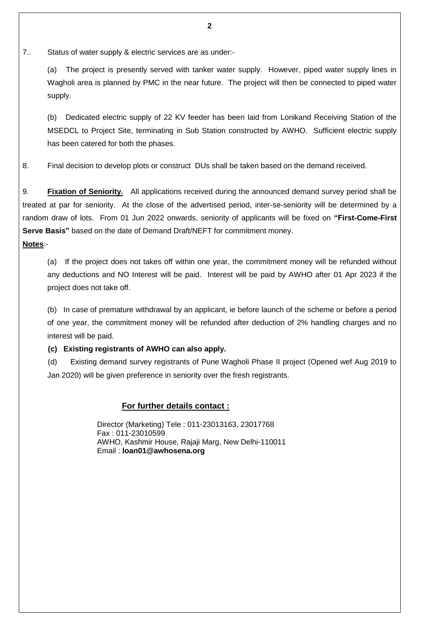7.. Status of water supply & electric services are as under:-

 (a) The project is presently served with tanker water supply. However, piped water supply lines in Wagholi area is planned by PMC in the near future. The project will then be connected to piped water supply.

 (b) Dedicated electric supply of 22 KV feeder has been laid from Lonikand Receiving Station of the MSEDCL to Project Site, terminating in Sub Station constructed by AWHO. Sufficient electric supply has been catered for both the phases.

8. Final decision to develop plots or construct DUs shall be taken based on the demand received.

9. **Fixation of Seniority.** All applications received during the announced demand survey period shall be treated at par for seniority. At the close of the advertised period, inter-se-seniority will be determined by a random draw of lots. From 01 Jun 2022 onwards, seniority of applicants will be fixed on **"First-Come-First Serve Basis"** based on the date of Demand Draft/NEFT for commitment money.

## **Notes**:-

 (a) If the project does not takes off within one year, the commitment money will be refunded without any deductions and NO Interest will be paid. Interest will be paid by AWHO after 01 Apr 2023 if the project does not take off.

 (b) In case of premature withdrawal by an applicant, ie before launch of the scheme or before a period of one year, the commitment money will be refunded after deduction of 2% handling charges and no interest will be paid.

**(c) Existing registrants of AWHO can also apply.** 

 (d) Existing demand survey registrants of Pune Wagholi Phase II project (Opened wef Aug 2019 to Jan 2020) will be given preference in seniority over the fresh registrants.

#### **For further details contact :**

Director (Marketing) Tele : 011-23013163, 23017768 Fax : 011-23010599 AWHO, Kashmir House, Rajaji Marg, New Delhi-110011 Email : **loan01@awhosena.org**